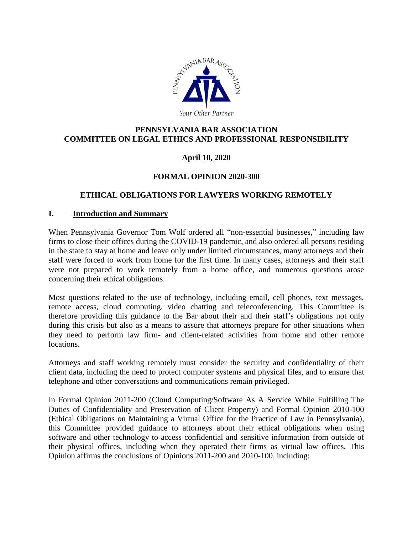

### **PENNSYLVANIA BAR ASSOCIATION COMMITTEE ON LEGAL ETHICS AND PROFESSIONAL RESPONSIBILITY**

### **April 10, 2020**

#### **FORMAL OPINION 2020-300**

#### **ETHICAL OBLIGATIONS FOR LAWYERS WORKING REMOTELY**

#### **I. Introduction and Summary**

When Pennsylvania Governor Tom Wolf ordered all "non-essential businesses," including law firms to close their offices during the COVID-19 pandemic, and also ordered all persons residing in the state to stay at home and leave only under limited circumstances, many attorneys and their staff were forced to work from home for the first time. In many cases, attorneys and their staff were not prepared to work remotely from a home office, and numerous questions arose concerning their ethical obligations.

Most questions related to the use of technology, including email, cell phones, text messages, remote access, cloud computing, video chatting and teleconferencing. This Committee is therefore providing this guidance to the Bar about their and their staff's obligations not only during this crisis but also as a means to assure that attorneys prepare for other situations when they need to perform law firm- and client-related activities from home and other remote locations.

Attorneys and staff working remotely must consider the security and confidentiality of their client data, including the need to protect computer systems and physical files, and to ensure that telephone and other conversations and communications remain privileged.

In Formal Opinion 2011-200 (Cloud Computing/Software As A Service While Fulfilling The Duties of Confidentiality and Preservation of Client Property) and Formal Opinion 2010-100 (Ethical Obligations on Maintaining a Virtual Office for the Practice of Law in Pennsylvania), this Committee provided guidance to attorneys about their ethical obligations when using software and other technology to access confidential and sensitive information from outside of their physical offices, including when they operated their firms as virtual law offices. This Opinion affirms the conclusions of Opinions 2011-200 and 2010-100, including: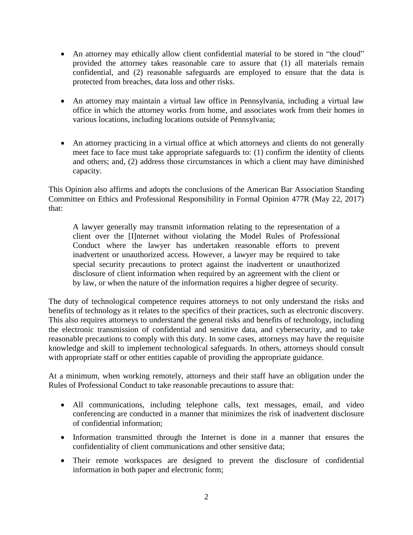- An attorney may ethically allow client confidential material to be stored in "the cloud" provided the attorney takes reasonable care to assure that (1) all materials remain confidential, and (2) reasonable safeguards are employed to ensure that the data is protected from breaches, data loss and other risks.
- An attorney may maintain a virtual law office in Pennsylvania, including a virtual law office in which the attorney works from home, and associates work from their homes in various locations, including locations outside of Pennsylvania;
- An attorney practicing in a virtual office at which attorneys and clients do not generally meet face to face must take appropriate safeguards to: (1) confirm the identity of clients and others; and, (2) address those circumstances in which a client may have diminished capacity.

This Opinion also affirms and adopts the conclusions of the American Bar Association Standing Committee on Ethics and Professional Responsibility in Formal Opinion 477R (May 22, 2017) that:

A lawyer generally may transmit information relating to the representation of a client over the [I]nternet without violating the Model Rules of Professional Conduct where the lawyer has undertaken reasonable efforts to prevent inadvertent or unauthorized access. However, a lawyer may be required to take special security precautions to protect against the inadvertent or unauthorized disclosure of client information when required by an agreement with the client or by law, or when the nature of the information requires a higher degree of security.

The duty of technological competence requires attorneys to not only understand the risks and benefits of technology as it relates to the specifics of their practices, such as electronic discovery. This also requires attorneys to understand the general risks and benefits of technology, including the electronic transmission of confidential and sensitive data, and cybersecurity, and to take reasonable precautions to comply with this duty. In some cases, attorneys may have the requisite knowledge and skill to implement technological safeguards. In others, attorneys should consult with appropriate staff or other entities capable of providing the appropriate guidance.

At a minimum, when working remotely, attorneys and their staff have an obligation under the Rules of Professional Conduct to take reasonable precautions to assure that:

- All communications, including telephone calls, text messages, email, and video conferencing are conducted in a manner that minimizes the risk of inadvertent disclosure of confidential information;
- Information transmitted through the Internet is done in a manner that ensures the confidentiality of client communications and other sensitive data;
- Their remote workspaces are designed to prevent the disclosure of confidential information in both paper and electronic form;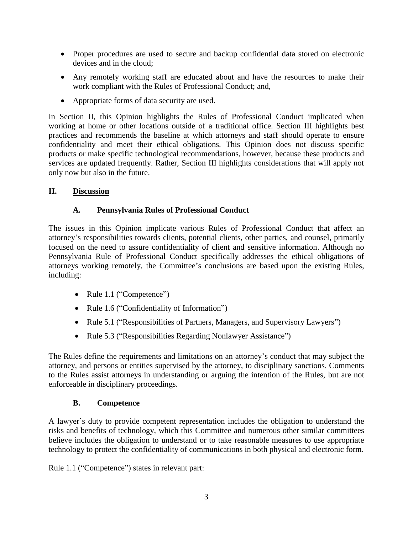- Proper procedures are used to secure and backup confidential data stored on electronic devices and in the cloud;
- Any remotely working staff are educated about and have the resources to make their work compliant with the Rules of Professional Conduct; and,
- Appropriate forms of data security are used.

In Section II, this Opinion highlights the Rules of Professional Conduct implicated when working at home or other locations outside of a traditional office. Section III highlights best practices and recommends the baseline at which attorneys and staff should operate to ensure confidentiality and meet their ethical obligations. This Opinion does not discuss specific products or make specific technological recommendations, however, because these products and services are updated frequently. Rather, Section III highlights considerations that will apply not only now but also in the future.

### **II. Discussion**

# **A. Pennsylvania Rules of Professional Conduct**

The issues in this Opinion implicate various Rules of Professional Conduct that affect an attorney's responsibilities towards clients, potential clients, other parties, and counsel, primarily focused on the need to assure confidentiality of client and sensitive information. Although no Pennsylvania Rule of Professional Conduct specifically addresses the ethical obligations of attorneys working remotely, the Committee's conclusions are based upon the existing Rules, including:

- Rule 1.1 ("Competence")
- Rule 1.6 ("Confidentiality of Information")
- Rule 5.1 ("Responsibilities of Partners, Managers, and Supervisory Lawyers")
- Rule 5.3 ("Responsibilities Regarding Nonlawyer Assistance")

The Rules define the requirements and limitations on an attorney's conduct that may subject the attorney, and persons or entities supervised by the attorney, to disciplinary sanctions. Comments to the Rules assist attorneys in understanding or arguing the intention of the Rules, but are not enforceable in disciplinary proceedings.

### **B. Competence**

A lawyer's duty to provide competent representation includes the obligation to understand the risks and benefits of technology, which this Committee and numerous other similar committees believe includes the obligation to understand or to take reasonable measures to use appropriate technology to protect the confidentiality of communications in both physical and electronic form.

Rule 1.1 ("Competence") states in relevant part: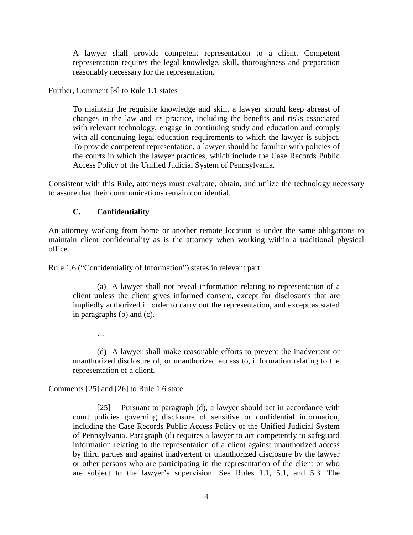A lawyer shall provide competent representation to a client. Competent representation requires the legal knowledge, skill, thoroughness and preparation reasonably necessary for the representation.

Further, Comment [8] to Rule 1.1 states

To maintain the requisite knowledge and skill, a lawyer should keep abreast of changes in the law and its practice, including the benefits and risks associated with relevant technology, engage in continuing study and education and comply with all continuing legal education requirements to which the lawyer is subject. To provide competent representation, a lawyer should be familiar with policies of the courts in which the lawyer practices, which include the Case Records Public Access Policy of the Unified Judicial System of Pennsylvania.

Consistent with this Rule, attorneys must evaluate, obtain, and utilize the technology necessary to assure that their communications remain confidential.

#### **C. Confidentiality**

An attorney working from home or another remote location is under the same obligations to maintain client confidentiality as is the attorney when working within a traditional physical office.

Rule 1.6 ("Confidentiality of Information") states in relevant part:

(a) A lawyer shall not reveal information relating to representation of a client unless the client gives informed consent, except for disclosures that are impliedly authorized in order to carry out the representation, and except as stated in paragraphs (b) and (c).

…

(d) A lawyer shall make reasonable efforts to prevent the inadvertent or unauthorized disclosure of, or unauthorized access to, information relating to the representation of a client.

Comments [25] and [26] to Rule 1.6 state:

[25] Pursuant to paragraph (d), a lawyer should act in accordance with court policies governing disclosure of sensitive or confidential information, including the Case Records Public Access Policy of the Unified Judicial System of Pennsylvania. Paragraph (d) requires a lawyer to act competently to safeguard information relating to the representation of a client against unauthorized access by third parties and against inadvertent or unauthorized disclosure by the lawyer or other persons who are participating in the representation of the client or who are subject to the lawyer's supervision. See Rules 1.1, 5.1, and 5.3. The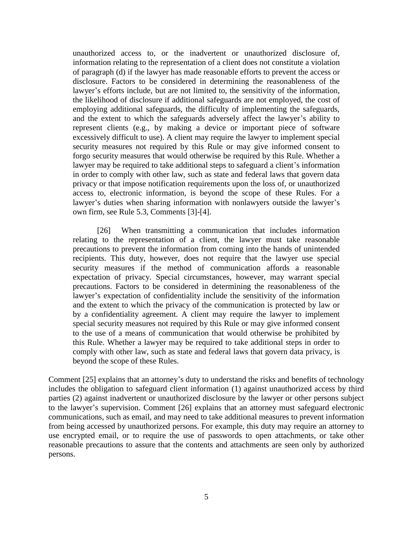unauthorized access to, or the inadvertent or unauthorized disclosure of, information relating to the representation of a client does not constitute a violation of paragraph (d) if the lawyer has made reasonable efforts to prevent the access or disclosure. Factors to be considered in determining the reasonableness of the lawyer's efforts include, but are not limited to, the sensitivity of the information, the likelihood of disclosure if additional safeguards are not employed, the cost of employing additional safeguards, the difficulty of implementing the safeguards, and the extent to which the safeguards adversely affect the lawyer's ability to represent clients (e.g., by making a device or important piece of software excessively difficult to use). A client may require the lawyer to implement special security measures not required by this Rule or may give informed consent to forgo security measures that would otherwise be required by this Rule. Whether a lawyer may be required to take additional steps to safeguard a client's information in order to comply with other law, such as state and federal laws that govern data privacy or that impose notification requirements upon the loss of, or unauthorized access to, electronic information, is beyond the scope of these Rules. For a lawyer's duties when sharing information with nonlawyers outside the lawyer's own firm, see Rule 5.3, Comments [3]-[4].

[26] When transmitting a communication that includes information relating to the representation of a client, the lawyer must take reasonable precautions to prevent the information from coming into the hands of unintended recipients. This duty, however, does not require that the lawyer use special security measures if the method of communication affords a reasonable expectation of privacy. Special circumstances, however, may warrant special precautions. Factors to be considered in determining the reasonableness of the lawyer's expectation of confidentiality include the sensitivity of the information and the extent to which the privacy of the communication is protected by law or by a confidentiality agreement. A client may require the lawyer to implement special security measures not required by this Rule or may give informed consent to the use of a means of communication that would otherwise be prohibited by this Rule. Whether a lawyer may be required to take additional steps in order to comply with other law, such as state and federal laws that govern data privacy, is beyond the scope of these Rules.

Comment [25] explains that an attorney's duty to understand the risks and benefits of technology includes the obligation to safeguard client information (1) against unauthorized access by third parties (2) against inadvertent or unauthorized disclosure by the lawyer or other persons subject to the lawyer's supervision. Comment [26] explains that an attorney must safeguard electronic communications, such as email, and may need to take additional measures to prevent information from being accessed by unauthorized persons. For example, this duty may require an attorney to use encrypted email, or to require the use of passwords to open attachments, or take other reasonable precautions to assure that the contents and attachments are seen only by authorized persons.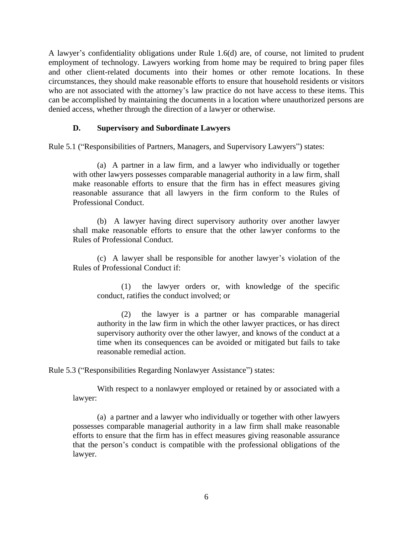A lawyer's confidentiality obligations under Rule 1.6(d) are, of course, not limited to prudent employment of technology. Lawyers working from home may be required to bring paper files and other client-related documents into their homes or other remote locations. In these circumstances, they should make reasonable efforts to ensure that household residents or visitors who are not associated with the attorney's law practice do not have access to these items. This can be accomplished by maintaining the documents in a location where unauthorized persons are denied access, whether through the direction of a lawyer or otherwise.

#### **D. Supervisory and Subordinate Lawyers**

Rule 5.1 ("Responsibilities of Partners, Managers, and Supervisory Lawyers") states:

(a) A partner in a law firm, and a lawyer who individually or together with other lawyers possesses comparable managerial authority in a law firm, shall make reasonable efforts to ensure that the firm has in effect measures giving reasonable assurance that all lawyers in the firm conform to the Rules of Professional Conduct.

(b) A lawyer having direct supervisory authority over another lawyer shall make reasonable efforts to ensure that the other lawyer conforms to the Rules of Professional Conduct.

(c) A lawyer shall be responsible for another lawyer's violation of the Rules of Professional Conduct if:

(1) the lawyer orders or, with knowledge of the specific conduct, ratifies the conduct involved; or

(2) the lawyer is a partner or has comparable managerial authority in the law firm in which the other lawyer practices, or has direct supervisory authority over the other lawyer, and knows of the conduct at a time when its consequences can be avoided or mitigated but fails to take reasonable remedial action.

Rule 5.3 ("Responsibilities Regarding Nonlawyer Assistance") states:

With respect to a nonlawyer employed or retained by or associated with a lawyer:

(a) a partner and a lawyer who individually or together with other lawyers possesses comparable managerial authority in a law firm shall make reasonable efforts to ensure that the firm has in effect measures giving reasonable assurance that the person's conduct is compatible with the professional obligations of the lawyer.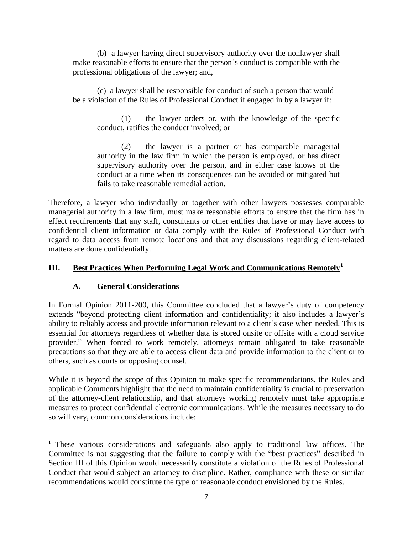(b) a lawyer having direct supervisory authority over the nonlawyer shall make reasonable efforts to ensure that the person's conduct is compatible with the professional obligations of the lawyer; and,

(c) a lawyer shall be responsible for conduct of such a person that would be a violation of the Rules of Professional Conduct if engaged in by a lawyer if:

(1) the lawyer orders or, with the knowledge of the specific conduct, ratifies the conduct involved; or

(2) the lawyer is a partner or has comparable managerial authority in the law firm in which the person is employed, or has direct supervisory authority over the person, and in either case knows of the conduct at a time when its consequences can be avoided or mitigated but fails to take reasonable remedial action.

Therefore, a lawyer who individually or together with other lawyers possesses comparable managerial authority in a law firm, must make reasonable efforts to ensure that the firm has in effect requirements that any staff, consultants or other entities that have or may have access to confidential client information or data comply with the Rules of Professional Conduct with regard to data access from remote locations and that any discussions regarding client-related matters are done confidentially.

#### **III. Best Practices When Performing Legal Work and Communications Remotely<sup>1</sup>**

#### **A. General Considerations**

 $\overline{a}$ 

In Formal Opinion 2011-200, this Committee concluded that a lawyer's duty of competency extends "beyond protecting client information and confidentiality; it also includes a lawyer's ability to reliably access and provide information relevant to a client's case when needed. This is essential for attorneys regardless of whether data is stored onsite or offsite with a cloud service provider." When forced to work remotely, attorneys remain obligated to take reasonable precautions so that they are able to access client data and provide information to the client or to others, such as courts or opposing counsel.

While it is beyond the scope of this Opinion to make specific recommendations, the Rules and applicable Comments highlight that the need to maintain confidentiality is crucial to preservation of the attorney-client relationship, and that attorneys working remotely must take appropriate measures to protect confidential electronic communications. While the measures necessary to do so will vary, common considerations include:

<sup>&</sup>lt;sup>1</sup> These various considerations and safeguards also apply to traditional law offices. The Committee is not suggesting that the failure to comply with the "best practices" described in Section III of this Opinion would necessarily constitute a violation of the Rules of Professional Conduct that would subject an attorney to discipline. Rather, compliance with these or similar recommendations would constitute the type of reasonable conduct envisioned by the Rules.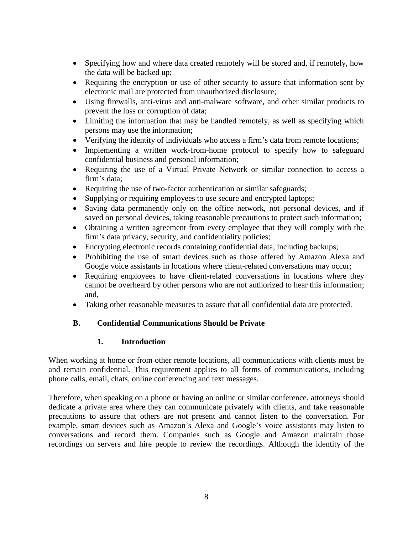- Specifying how and where data created remotely will be stored and, if remotely, how the data will be backed up;
- Requiring the encryption or use of other security to assure that information sent by electronic mail are protected from unauthorized disclosure;
- Using firewalls, anti-virus and anti-malware software, and other similar products to prevent the loss or corruption of data;
- Limiting the information that may be handled remotely, as well as specifying which persons may use the information;
- Verifying the identity of individuals who access a firm's data from remote locations;
- Implementing a written work-from-home protocol to specify how to safeguard confidential business and personal information;
- Requiring the use of a Virtual Private Network or similar connection to access a firm's data;
- Requiring the use of two-factor authentication or similar safeguards;
- Supplying or requiring employees to use secure and encrypted laptops;
- Saving data permanently only on the office network, not personal devices, and if saved on personal devices, taking reasonable precautions to protect such information;
- Obtaining a written agreement from every employee that they will comply with the firm's data privacy, security, and confidentiality policies;
- Encrypting electronic records containing confidential data, including backups;
- Prohibiting the use of smart devices such as those offered by Amazon Alexa and Google voice assistants in locations where client-related conversations may occur;
- Requiring employees to have client-related conversations in locations where they cannot be overheard by other persons who are not authorized to hear this information; and,
- Taking other reasonable measures to assure that all confidential data are protected.

### **B. Confidential Communications Should be Private**

### **1. Introduction**

When working at home or from other remote locations, all communications with clients must be and remain confidential. This requirement applies to all forms of communications, including phone calls, email, chats, online conferencing and text messages.

Therefore, when speaking on a phone or having an online or similar conference, attorneys should dedicate a private area where they can communicate privately with clients, and take reasonable precautions to assure that others are not present and cannot listen to the conversation. For example, smart devices such as Amazon's Alexa and Google's voice assistants may listen to conversations and record them. Companies such as Google and Amazon maintain those recordings on servers and hire people to review the recordings. Although the identity of the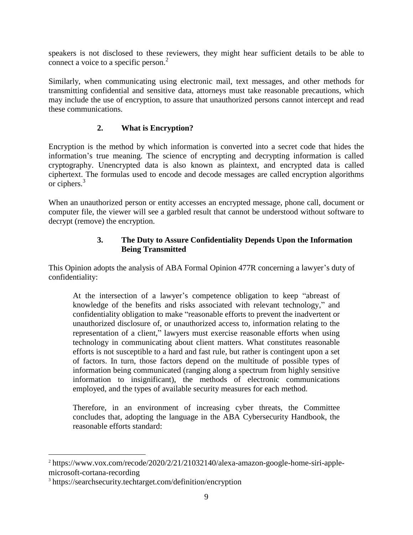speakers is not disclosed to these reviewers, they might hear sufficient details to be able to connect a voice to a specific person.<sup>2</sup>

Similarly, when communicating using electronic mail, text messages, and other methods for transmitting confidential and sensitive data, attorneys must take reasonable precautions, which may include the use of encryption, to assure that unauthorized persons cannot intercept and read these communications.

### **2. What is Encryption?**

Encryption is the method by which information is converted into a secret code that hides the information's true meaning. The science of encrypting and decrypting information is called cryptography. Unencrypted data is also known as plaintext, and encrypted data is called ciphertext. The formulas used to encode and decode messages are called encryption algorithms or ciphers.<sup>3</sup>

When an unauthorized person or entity accesses an encrypted message, phone call, document or computer file, the viewer will see a garbled result that cannot be understood without software to decrypt (remove) the encryption.

#### **3. The Duty to Assure Confidentiality Depends Upon the Information Being Transmitted**

This Opinion adopts the analysis of ABA Formal Opinion 477R concerning a lawyer's duty of confidentiality:

At the intersection of a lawyer's competence obligation to keep "abreast of knowledge of the benefits and risks associated with relevant technology," and confidentiality obligation to make "reasonable efforts to prevent the inadvertent or unauthorized disclosure of, or unauthorized access to, information relating to the representation of a client," lawyers must exercise reasonable efforts when using technology in communicating about client matters. What constitutes reasonable efforts is not susceptible to a hard and fast rule, but rather is contingent upon a set of factors. In turn, those factors depend on the multitude of possible types of information being communicated (ranging along a spectrum from highly sensitive information to insignificant), the methods of electronic communications employed, and the types of available security measures for each method.

Therefore, in an environment of increasing cyber threats, the Committee concludes that, adopting the language in the ABA Cybersecurity Handbook, the reasonable efforts standard:

 $\overline{a}$ 

<sup>&</sup>lt;sup>2</sup> https://www.vox.com/recode/2020/2/21/21032140/alexa-amazon-google-home-siri-applemicrosoft-cortana-recording

<sup>3</sup> https://searchsecurity.techtarget.com/definition/encryption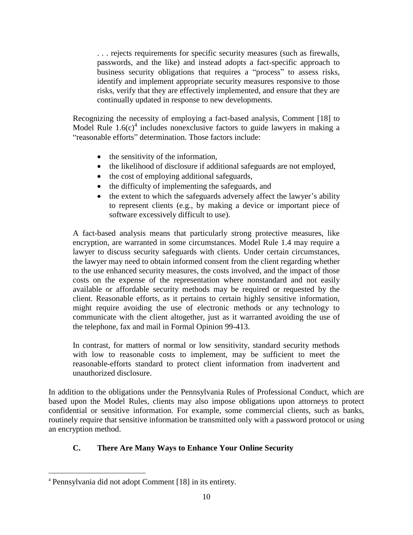. . . rejects requirements for specific security measures (such as firewalls, passwords, and the like) and instead adopts a fact-specific approach to business security obligations that requires a "process" to assess risks, identify and implement appropriate security measures responsive to those risks, verify that they are effectively implemented, and ensure that they are continually updated in response to new developments.

Recognizing the necessity of employing a fact-based analysis, Comment [18] to Model Rule  $1.6(c)^4$  includes nonexclusive factors to guide lawyers in making a "reasonable efforts" determination. Those factors include:

- $\bullet$  the sensitivity of the information,
- the likelihood of disclosure if additional safeguards are not employed,
- the cost of employing additional safeguards,
- the difficulty of implementing the safeguards, and
- the extent to which the safeguards adversely affect the lawyer's ability to represent clients (e.g., by making a device or important piece of software excessively difficult to use).

A fact-based analysis means that particularly strong protective measures, like encryption, are warranted in some circumstances. Model Rule 1.4 may require a lawyer to discuss security safeguards with clients. Under certain circumstances, the lawyer may need to obtain informed consent from the client regarding whether to the use enhanced security measures, the costs involved, and the impact of those costs on the expense of the representation where nonstandard and not easily available or affordable security methods may be required or requested by the client. Reasonable efforts, as it pertains to certain highly sensitive information, might require avoiding the use of electronic methods or any technology to communicate with the client altogether, just as it warranted avoiding the use of the telephone, fax and mail in Formal Opinion 99-413.

In contrast, for matters of normal or low sensitivity, standard security methods with low to reasonable costs to implement, may be sufficient to meet the reasonable-efforts standard to protect client information from inadvertent and unauthorized disclosure.

In addition to the obligations under the Pennsylvania Rules of Professional Conduct, which are based upon the Model Rules, clients may also impose obligations upon attorneys to protect confidential or sensitive information. For example, some commercial clients, such as banks, routinely require that sensitive information be transmitted only with a password protocol or using an encryption method.

### **C. There Are Many Ways to Enhance Your Online Security**

 $\overline{a}$ 

<sup>4</sup> Pennsylvania did not adopt Comment [18] in its entirety.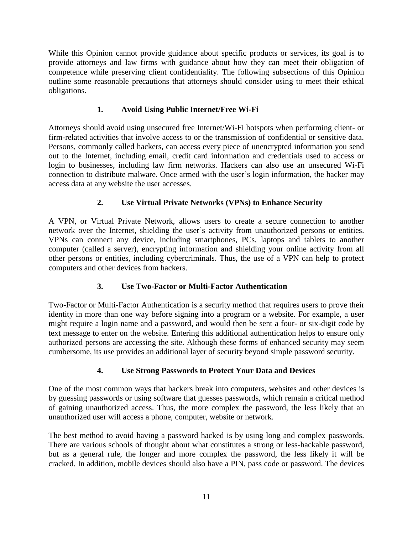While this Opinion cannot provide guidance about specific products or services, its goal is to provide attorneys and law firms with guidance about how they can meet their obligation of competence while preserving client confidentiality. The following subsections of this Opinion outline some reasonable precautions that attorneys should consider using to meet their ethical obligations.

# **1. Avoid Using Public Internet/Free Wi-Fi**

Attorneys should avoid using unsecured free Internet/Wi-Fi hotspots when performing client- or firm-related activities that involve access to or the transmission of confidential or sensitive data. Persons, commonly called hackers, can access every piece of unencrypted information you send out to the Internet, including email, credit card information and credentials used to access or login to businesses, including law firm networks. Hackers can also use an unsecured Wi-Fi connection to distribute malware. Once armed with the user's login information, the hacker may access data at any website the user accesses.

# **2. Use Virtual Private Networks (VPNs) to Enhance Security**

A VPN, or Virtual Private Network, allows users to create a secure connection to another network over the Internet, shielding the user's activity from unauthorized persons or entities. VPNs can connect any device, including smartphones, PCs, laptops and tablets to another computer (called a server), encrypting information and shielding your online activity from all other persons or entities, including cybercriminals. Thus, the use of a VPN can help to protect computers and other devices from hackers.

# **3. Use Two-Factor or Multi-Factor Authentication**

Two-Factor or Multi-Factor Authentication is a security method that requires users to prove their identity in more than one way before signing into a program or a website. For example, a user might require a login name and a password, and would then be sent a four- or six-digit code by text message to enter on the website. Entering this additional authentication helps to ensure only authorized persons are accessing the site. Although these forms of enhanced security may seem cumbersome, its use provides an additional layer of security beyond simple password security.

### **4. Use Strong Passwords to Protect Your Data and Devices**

One of the most common ways that hackers break into computers, websites and other devices is by guessing passwords or using software that guesses passwords, which remain a critical method of gaining unauthorized access. Thus, the more complex the password, the less likely that an unauthorized user will access a phone, computer, website or network.

The best method to avoid having a password hacked is by using long and complex passwords. There are various schools of thought about what constitutes a strong or less-hackable password, but as a general rule, the longer and more complex the password, the less likely it will be cracked. In addition, mobile devices should also have a PIN, pass code or password. The devices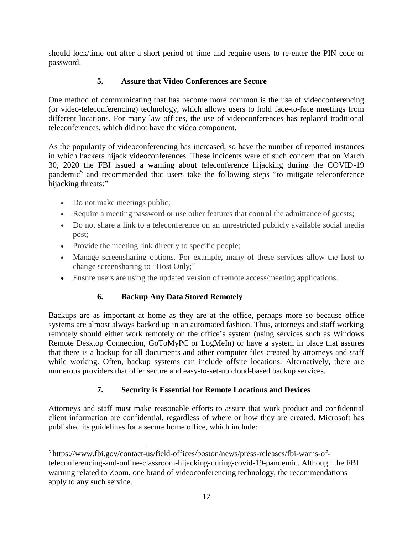should lock/time out after a short period of time and require users to re-enter the PIN code or password.

# **5. Assure that Video Conferences are Secure**

One method of communicating that has become more common is the use of videoconferencing (or video-teleconferencing) technology, which allows users to hold face-to-face meetings from different locations. For many law offices, the use of videoconferences has replaced traditional teleconferences, which did not have the video component.

As the popularity of videoconferencing has increased, so have the number of reported instances in which hackers hijack videoconferences. These incidents were of such concern that on March 30, 2020 the FBI issued a warning about teleconference hijacking during the COVID-19 pandemic<sup>5</sup> and recommended that users take the following steps "to mitigate teleconference hijacking threats:"

- Do not make meetings public;
- Require a meeting password or use other features that control the admittance of guests;
- Do not share a link to a teleconference on an unrestricted publicly available social media post;
- Provide the meeting link directly to specific people;
- Manage screensharing options. For example, many of these services allow the host to change screensharing to "Host Only;"
- Ensure users are using the updated version of remote access/meeting applications.

# **6. Backup Any Data Stored Remotely**

Backups are as important at home as they are at the office, perhaps more so because office systems are almost always backed up in an automated fashion. Thus, attorneys and staff working remotely should either work remotely on the office's system (using services such as Windows Remote Desktop Connection, GoToMyPC or LogMeIn) or have a system in place that assures that there is a backup for all documents and other computer files created by attorneys and staff while working. Often, backup systems can include offsite locations. Alternatively, there are numerous providers that offer secure and easy-to-set-up cloud-based backup services.

# **7. Security is Essential for Remote Locations and Devices**

Attorneys and staff must make reasonable efforts to assure that work product and confidential client information are confidential, regardless of where or how they are created. Microsoft has published its guidelines for a secure home office, which include:

 $\overline{a}$ 5 https://www.fbi.gov/contact-us/field-offices/boston/news/press-releases/fbi-warns-ofteleconferencing-and-online-classroom-hijacking-during-covid-19-pandemic. Although the FBI warning related to Zoom, one brand of videoconferencing technology, the recommendations apply to any such service.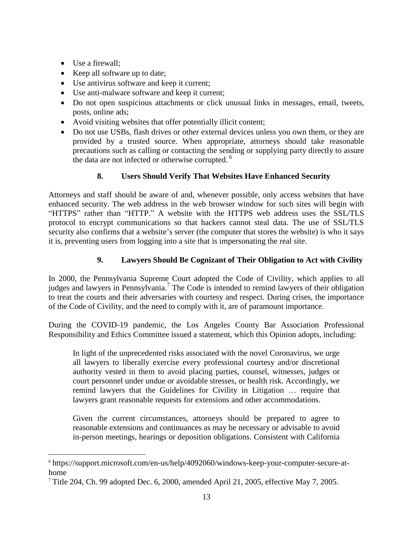• Use a firewall;

 $\overline{a}$ 

- Keep all software up to date;
- Use antivirus software and keep it current;
- Use anti-malware software and keep it current;
- Do not open suspicious attachments or click unusual links in messages, email, tweets, posts, online ads;
- Avoid visiting websites that offer potentially illicit content;
- Do not use USBs, flash drives or other external devices unless you own them, or they are provided by a trusted source. When appropriate, attorneys should take reasonable precautions such as calling or contacting the sending or supplying party directly to assure the data are not infected or otherwise corrupted.<sup>6</sup>

# **8. Users Should Verify That Websites Have Enhanced Security**

Attorneys and staff should be aware of and, whenever possible, only access websites that have enhanced security. The web address in the web browser window for such sites will begin with "HTTPS" rather than "HTTP." A website with the HTTPS web address uses the SSL/TLS protocol to encrypt communications so that hackers cannot steal data. The use of SSL/TLS security also confirms that a website's server (the computer that stores the website) is who it says it is, preventing users from logging into a site that is impersonating the real site.

# **9. Lawyers Should Be Cognizant of Their Obligation to Act with Civility**

In 2000, the Pennsylvania Supreme Court adopted the Code of Civility, which applies to all judges and lawyers in Pennsylvania.<sup>7</sup> The Code is intended to remind lawyers of their obligation to treat the courts and their adversaries with courtesy and respect. During crises, the importance of the Code of Civility, and the need to comply with it, are of paramount importance.

During the COVID-19 pandemic, the Los Angeles County Bar Association Professional Responsibility and Ethics Committee issued a statement, which this Opinion adopts, including:

In light of the unprecedented risks associated with the novel Coronavirus, we urge all lawyers to liberally exercise every professional courtesy and/or discretional authority vested in them to avoid placing parties, counsel, witnesses, judges or court personnel under undue or avoidable stresses, or health risk. Accordingly, we remind lawyers that the Guidelines for Civility in Litigation … require that lawyers grant reasonable requests for extensions and other accommodations.

Given the current circumstances, attorneys should be prepared to agree to reasonable extensions and continuances as may be necessary or advisable to avoid in-person meetings, hearings or deposition obligations. Consistent with California

<sup>6</sup> [https://support.microsoft.com/en-us/help/4092060/windows-keep-your-computer-secure-at](https://support.microsoft.com/en-us/help/4092060/windows-keep-your-computer-secure-at-home)[home](https://support.microsoft.com/en-us/help/4092060/windows-keep-your-computer-secure-at-home)

<sup>7</sup> Title 204, Ch. 99 adopted Dec. 6, 2000, amended April 21, 2005, effective May 7, 2005.